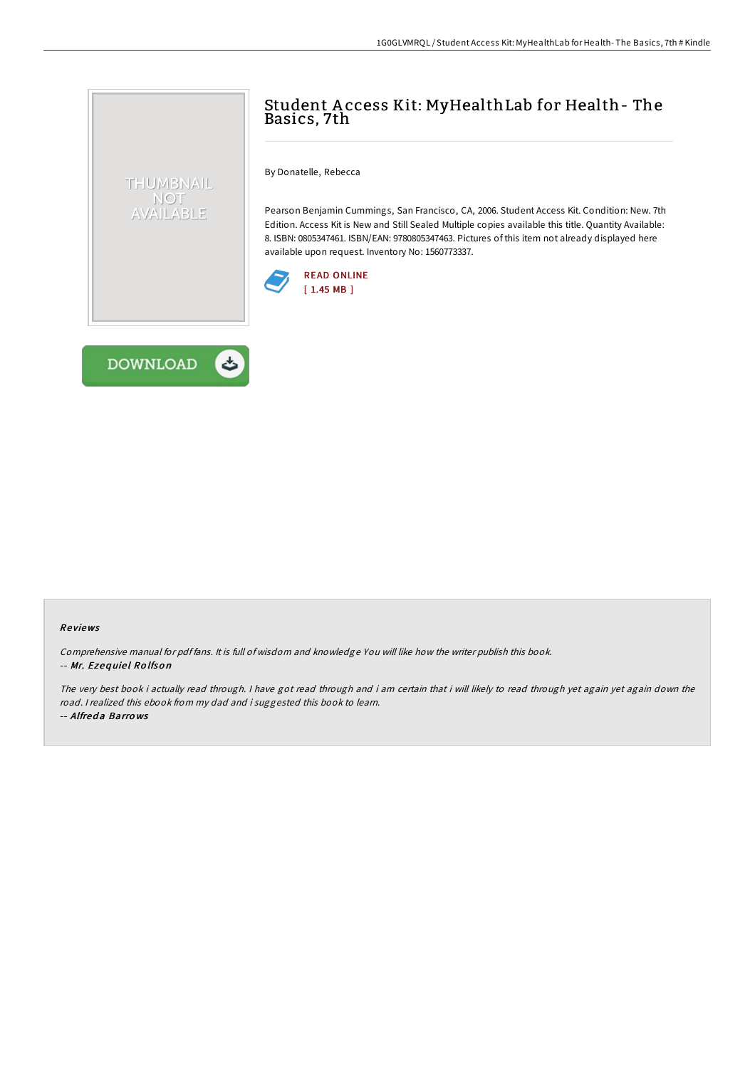## Student A ccess Kit: MyHealthLab for Health- The Basics, 7th

By Donatelle, Rebecca

Pearson Benjamin Cummings, San Francisco, CA, 2006. Student Access Kit. Condition: New. 7th Edition. Access Kit is New and Still Sealed Multiple copies available this title. Quantity Available: 8. ISBN: 0805347461. ISBN/EAN: 9780805347463. Pictures of this item not already displayed here available upon request. Inventory No: 1560773337.





THUMBNAIL NOT AVAILABLE

## Re views

Comprehensive manual for pdf fans. It is full of wisdom and knowledge You will like how the writer publish this book. -- Mr. Ezequiel Rolfson

The very best book i actually read through. I have got read through and i am certain that i will likely to read through yet again yet again down the road. <sup>I</sup> realized this ebook from my dad and i suggested this book to learn. -- Alfreda Barrows